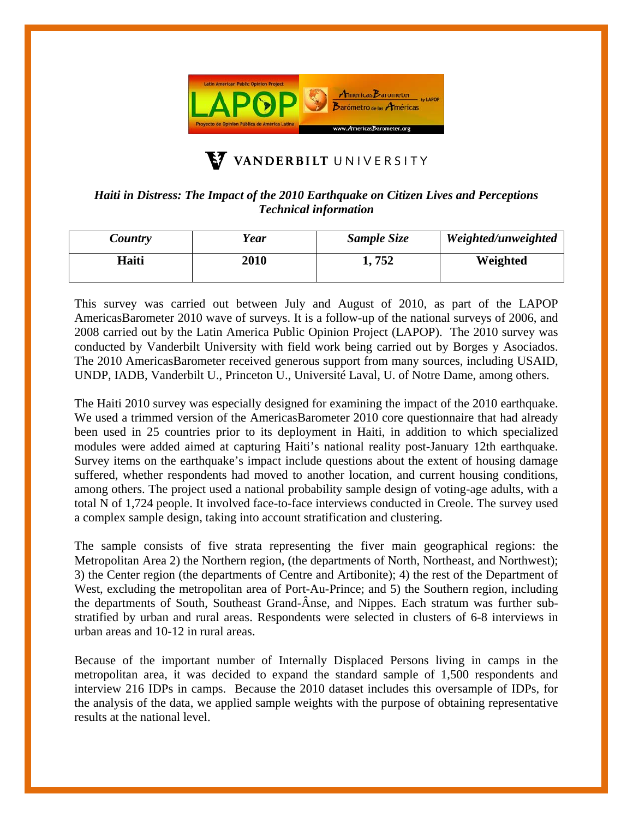

## VANDERBILT UNIVERSITY

## *Haiti in Distress: The Impact of the 2010 Earthquake on Citizen Lives and Perceptions Technical information*

| Country | Year        | Sample Size | Weighted/unweighted |
|---------|-------------|-------------|---------------------|
| Haiti   | <b>2010</b> | l. 752      | Weighted            |

This survey was carried out between July and August of 2010, as part of the LAPOP AmericasBarometer 2010 wave of surveys. It is a follow-up of the national surveys of 2006, and 2008 carried out by the Latin America Public Opinion Project (LAPOP). The 2010 survey was conducted by Vanderbilt University with field work being carried out by Borges y Asociados. The 2010 AmericasBarometer received generous support from many sources, including USAID, UNDP, IADB, Vanderbilt U., Princeton U., Université Laval, U. of Notre Dame, among others.

The Haiti 2010 survey was especially designed for examining the impact of the 2010 earthquake. We used a trimmed version of the AmericasBarometer 2010 core questionnaire that had already been used in 25 countries prior to its deployment in Haiti, in addition to which specialized modules were added aimed at capturing Haiti's national reality post-January 12th earthquake. Survey items on the earthquake's impact include questions about the extent of housing damage suffered, whether respondents had moved to another location, and current housing conditions, among others. The project used a national probability sample design of voting-age adults, with a total N of 1,724 people. It involved face-to-face interviews conducted in Creole. The survey used a complex sample design, taking into account stratification and clustering.

The sample consists of five strata representing the fiver main geographical regions: the Metropolitan Area 2) the Northern region, (the departments of North, Northeast, and Northwest); 3) the Center region (the departments of Centre and Artibonite); 4) the rest of the Department of West, excluding the metropolitan area of Port-Au-Prince; and 5) the Southern region, including the departments of South, Southeast Grand-Ânse, and Nippes. Each stratum was further substratified by urban and rural areas. Respondents were selected in clusters of 6-8 interviews in urban areas and 10-12 in rural areas.

Because of the important number of Internally Displaced Persons living in camps in the metropolitan area, it was decided to expand the standard sample of 1,500 respondents and interview 216 IDPs in camps. Because the 2010 dataset includes this oversample of IDPs, for the analysis of the data, we applied sample weights with the purpose of obtaining representative results at the national level.